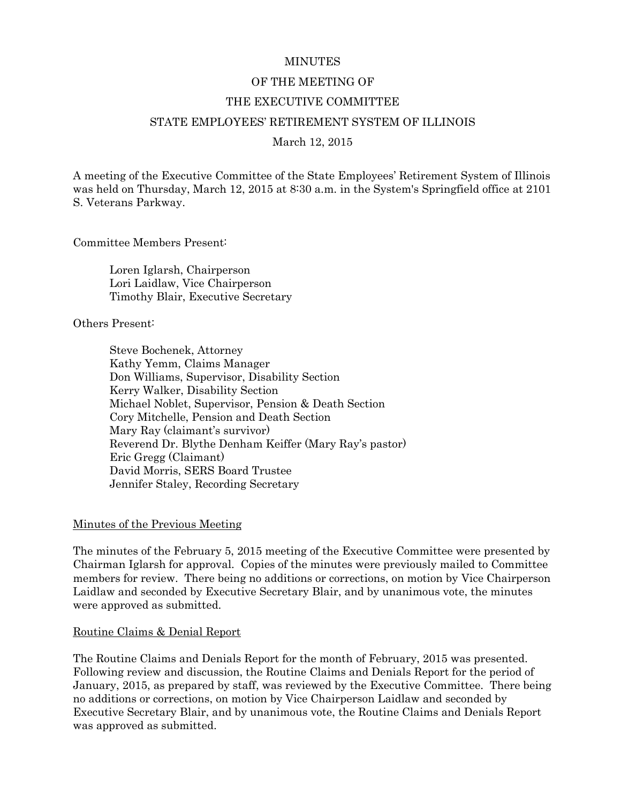#### **MINUTES**

#### OF THE MEETING OF

#### THE EXECUTIVE COMMITTEE

#### STATE EMPLOYEES' RETIREMENT SYSTEM OF ILLINOIS

March 12, 2015

A meeting of the Executive Committee of the State Employees' Retirement System of Illinois was held on Thursday, March 12, 2015 at 8:30 a.m. in the System's Springfield office at 2101 S. Veterans Parkway.

Committee Members Present:

Loren Iglarsh, Chairperson Lori Laidlaw, Vice Chairperson Timothy Blair, Executive Secretary

Others Present:

Steve Bochenek, Attorney Kathy Yemm, Claims Manager Don Williams, Supervisor, Disability Section Kerry Walker, Disability Section Michael Noblet, Supervisor, Pension & Death Section Cory Mitchelle, Pension and Death Section Mary Ray (claimant's survivor) Reverend Dr. Blythe Denham Keiffer (Mary Ray's pastor) Eric Gregg (Claimant) David Morris, SERS Board Trustee Jennifer Staley, Recording Secretary

#### Minutes of the Previous Meeting

The minutes of the February 5, 2015 meeting of the Executive Committee were presented by Chairman Iglarsh for approval. Copies of the minutes were previously mailed to Committee members for review. There being no additions or corrections, on motion by Vice Chairperson Laidlaw and seconded by Executive Secretary Blair, and by unanimous vote, the minutes were approved as submitted.

#### Routine Claims & Denial Report

The Routine Claims and Denials Report for the month of February, 2015 was presented. Following review and discussion, the Routine Claims and Denials Report for the period of January, 2015, as prepared by staff, was reviewed by the Executive Committee. There being no additions or corrections, on motion by Vice Chairperson Laidlaw and seconded by Executive Secretary Blair, and by unanimous vote, the Routine Claims and Denials Report was approved as submitted.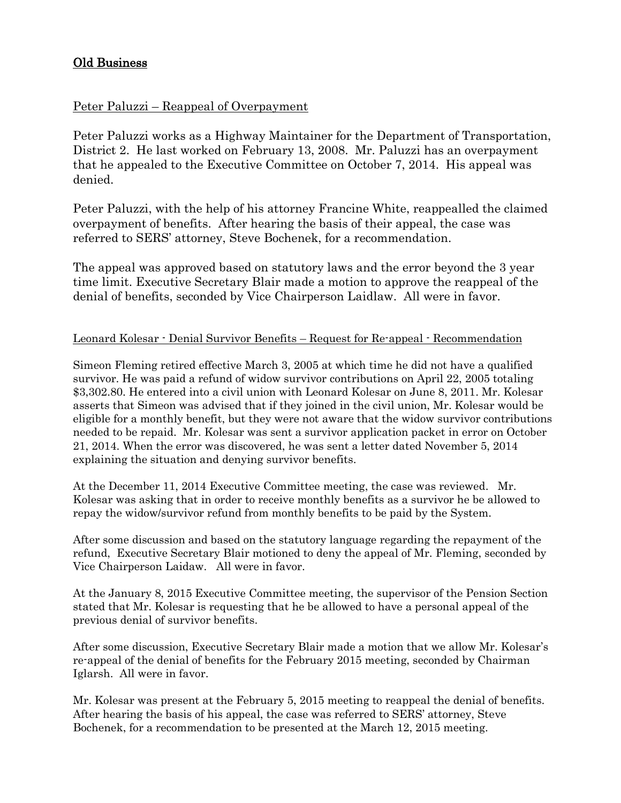# Old Business

# Peter Paluzzi – Reappeal of Overpayment

Peter Paluzzi works as a Highway Maintainer for the Department of Transportation, District 2. He last worked on February 13, 2008. Mr. Paluzzi has an overpayment that he appealed to the Executive Committee on October 7, 2014. His appeal was denied.

Peter Paluzzi, with the help of his attorney Francine White, reappealled the claimed overpayment of benefits. After hearing the basis of their appeal, the case was referred to SERS' attorney, Steve Bochenek, for a recommendation.

The appeal was approved based on statutory laws and the error beyond the 3 year time limit. Executive Secretary Blair made a motion to approve the reappeal of the denial of benefits, seconded by Vice Chairperson Laidlaw. All were in favor.

# Leonard Kolesar - Denial Survivor Benefits – Request for Re-appeal - Recommendation

Simeon Fleming retired effective March 3, 2005 at which time he did not have a qualified survivor. He was paid a refund of widow survivor contributions on April 22, 2005 totaling \$3,302.80. He entered into a civil union with Leonard Kolesar on June 8, 2011. Mr. Kolesar asserts that Simeon was advised that if they joined in the civil union, Mr. Kolesar would be eligible for a monthly benefit, but they were not aware that the widow survivor contributions needed to be repaid. Mr. Kolesar was sent a survivor application packet in error on October 21, 2014. When the error was discovered, he was sent a letter dated November 5, 2014 explaining the situation and denying survivor benefits.

At the December 11, 2014 Executive Committee meeting, the case was reviewed. Mr. Kolesar was asking that in order to receive monthly benefits as a survivor he be allowed to repay the widow/survivor refund from monthly benefits to be paid by the System.

After some discussion and based on the statutory language regarding the repayment of the refund, Executive Secretary Blair motioned to deny the appeal of Mr. Fleming, seconded by Vice Chairperson Laidaw. All were in favor.

At the January 8, 2015 Executive Committee meeting, the supervisor of the Pension Section stated that Mr. Kolesar is requesting that he be allowed to have a personal appeal of the previous denial of survivor benefits.

After some discussion, Executive Secretary Blair made a motion that we allow Mr. Kolesar's re-appeal of the denial of benefits for the February 2015 meeting, seconded by Chairman Iglarsh. All were in favor.

Mr. Kolesar was present at the February 5, 2015 meeting to reappeal the denial of benefits. After hearing the basis of his appeal, the case was referred to SERS' attorney, Steve Bochenek, for a recommendation to be presented at the March 12, 2015 meeting.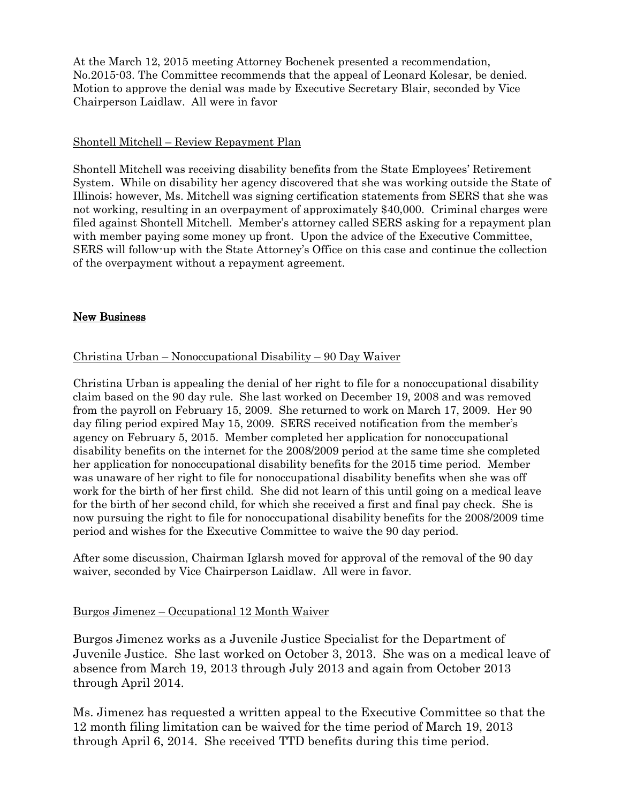At the March 12, 2015 meeting Attorney Bochenek presented a recommendation, No.2015-03. The Committee recommends that the appeal of Leonard Kolesar, be denied. Motion to approve the denial was made by Executive Secretary Blair, seconded by Vice Chairperson Laidlaw. All were in favor

### Shontell Mitchell – Review Repayment Plan

Shontell Mitchell was receiving disability benefits from the State Employees' Retirement System. While on disability her agency discovered that she was working outside the State of Illinois; however, Ms. Mitchell was signing certification statements from SERS that she was not working, resulting in an overpayment of approximately \$40,000. Criminal charges were filed against Shontell Mitchell. Member's attorney called SERS asking for a repayment plan with member paying some money up front. Upon the advice of the Executive Committee, SERS will follow-up with the State Attorney's Office on this case and continue the collection of the overpayment without a repayment agreement.

### New Business

# Christina Urban – Nonoccupational Disability – 90 Day Waiver

Christina Urban is appealing the denial of her right to file for a nonoccupational disability claim based on the 90 day rule. She last worked on December 19, 2008 and was removed from the payroll on February 15, 2009. She returned to work on March 17, 2009. Her 90 day filing period expired May 15, 2009. SERS received notification from the member's agency on February 5, 2015. Member completed her application for nonoccupational disability benefits on the internet for the 2008/2009 period at the same time she completed her application for nonoccupational disability benefits for the 2015 time period. Member was unaware of her right to file for nonoccupational disability benefits when she was off work for the birth of her first child. She did not learn of this until going on a medical leave for the birth of her second child, for which she received a first and final pay check. She is now pursuing the right to file for nonoccupational disability benefits for the 2008/2009 time period and wishes for the Executive Committee to waive the 90 day period.

After some discussion, Chairman Iglarsh moved for approval of the removal of the 90 day waiver, seconded by Vice Chairperson Laidlaw. All were in favor.

### Burgos Jimenez – Occupational 12 Month Waiver

Burgos Jimenez works as a Juvenile Justice Specialist for the Department of Juvenile Justice. She last worked on October 3, 2013. She was on a medical leave of absence from March 19, 2013 through July 2013 and again from October 2013 through April 2014.

Ms. Jimenez has requested a written appeal to the Executive Committee so that the 12 month filing limitation can be waived for the time period of March 19, 2013 through April 6, 2014. She received TTD benefits during this time period.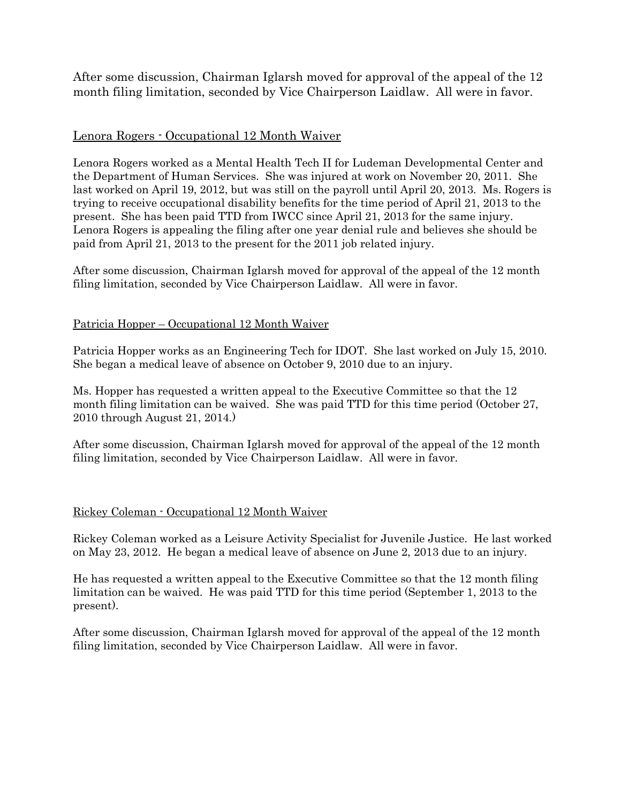After some discussion, Chairman Iglarsh moved for approval of the appeal of the 12 month filing limitation, seconded by Vice Chairperson Laidlaw. All were in favor.

# Lenora Rogers - Occupational 12 Month Waiver

Lenora Rogers worked as a Mental Health Tech II for Ludeman Developmental Center and the Department of Human Services. She was injured at work on November 20, 2011. She last worked on April 19, 2012, but was still on the payroll until April 20, 2013. Ms. Rogers is trying to receive occupational disability benefits for the time period of April 21, 2013 to the present. She has been paid TTD from IWCC since April 21, 2013 for the same injury. Lenora Rogers is appealing the filing after one year denial rule and believes she should be paid from April 21, 2013 to the present for the 2011 job related injury.

After some discussion, Chairman Iglarsh moved for approval of the appeal of the 12 month filing limitation, seconded by Vice Chairperson Laidlaw. All were in favor.

### Patricia Hopper – Occupational 12 Month Waiver

Patricia Hopper works as an Engineering Tech for IDOT. She last worked on July 15, 2010. She began a medical leave of absence on October 9, 2010 due to an injury.

Ms. Hopper has requested a written appeal to the Executive Committee so that the 12 month filing limitation can be waived. She was paid TTD for this time period (October 27, 2010 through August 21, 2014.)

After some discussion, Chairman Iglarsh moved for approval of the appeal of the 12 month filing limitation, seconded by Vice Chairperson Laidlaw. All were in favor.

### Rickey Coleman - Occupational 12 Month Waiver

Rickey Coleman worked as a Leisure Activity Specialist for Juvenile Justice. He last worked on May 23, 2012. He began a medical leave of absence on June 2, 2013 due to an injury.

He has requested a written appeal to the Executive Committee so that the 12 month filing limitation can be waived. He was paid TTD for this time period (September 1, 2013 to the present).

After some discussion, Chairman Iglarsh moved for approval of the appeal of the 12 month filing limitation, seconded by Vice Chairperson Laidlaw. All were in favor.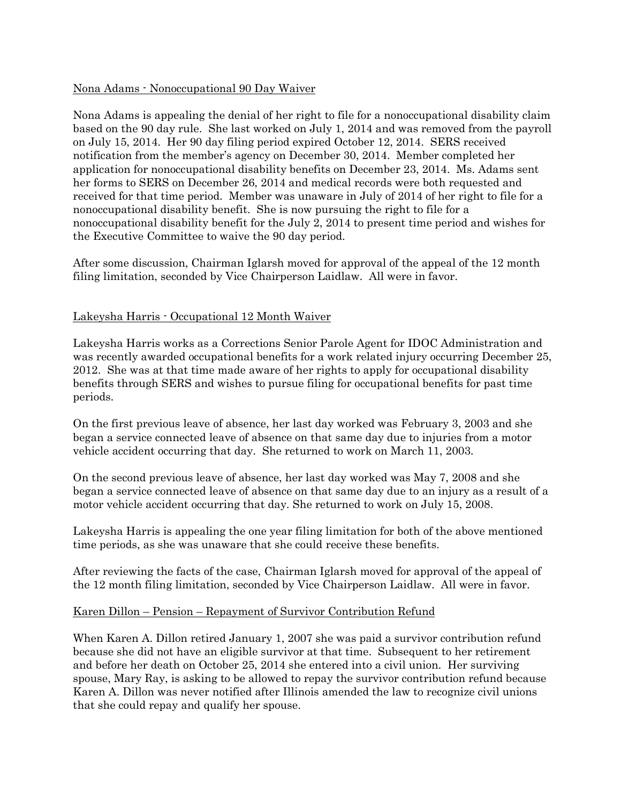### Nona Adams - Nonoccupational 90 Day Waiver

Nona Adams is appealing the denial of her right to file for a nonoccupational disability claim based on the 90 day rule. She last worked on July 1, 2014 and was removed from the payroll on July 15, 2014. Her 90 day filing period expired October 12, 2014. SERS received notification from the member's agency on December 30, 2014. Member completed her application for nonoccupational disability benefits on December 23, 2014. Ms. Adams sent her forms to SERS on December 26, 2014 and medical records were both requested and received for that time period. Member was unaware in July of 2014 of her right to file for a nonoccupational disability benefit. She is now pursuing the right to file for a nonoccupational disability benefit for the July 2, 2014 to present time period and wishes for the Executive Committee to waive the 90 day period.

After some discussion, Chairman Iglarsh moved for approval of the appeal of the 12 month filing limitation, seconded by Vice Chairperson Laidlaw. All were in favor.

#### Lakeysha Harris - Occupational 12 Month Waiver

Lakeysha Harris works as a Corrections Senior Parole Agent for IDOC Administration and was recently awarded occupational benefits for a work related injury occurring December 25, 2012. She was at that time made aware of her rights to apply for occupational disability benefits through SERS and wishes to pursue filing for occupational benefits for past time periods.

On the first previous leave of absence, her last day worked was February 3, 2003 and she began a service connected leave of absence on that same day due to injuries from a motor vehicle accident occurring that day. She returned to work on March 11, 2003.

On the second previous leave of absence, her last day worked was May 7, 2008 and she began a service connected leave of absence on that same day due to an injury as a result of a motor vehicle accident occurring that day. She returned to work on July 15, 2008.

Lakeysha Harris is appealing the one year filing limitation for both of the above mentioned time periods, as she was unaware that she could receive these benefits.

After reviewing the facts of the case, Chairman Iglarsh moved for approval of the appeal of the 12 month filing limitation, seconded by Vice Chairperson Laidlaw. All were in favor.

#### Karen Dillon – Pension – Repayment of Survivor Contribution Refund

When Karen A. Dillon retired January 1, 2007 she was paid a survivor contribution refund because she did not have an eligible survivor at that time. Subsequent to her retirement and before her death on October 25, 2014 she entered into a civil union. Her surviving spouse, Mary Ray, is asking to be allowed to repay the survivor contribution refund because Karen A. Dillon was never notified after Illinois amended the law to recognize civil unions that she could repay and qualify her spouse.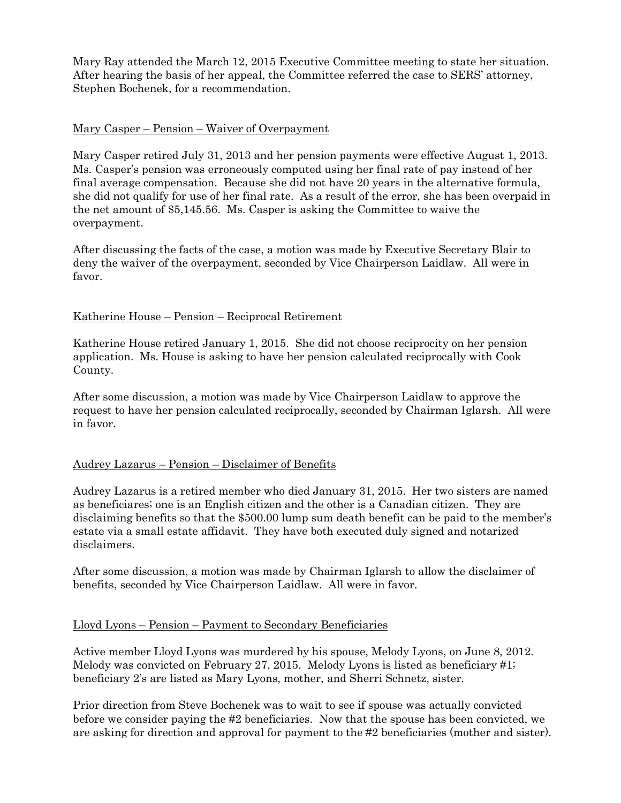Mary Ray attended the March 12, 2015 Executive Committee meeting to state her situation. After hearing the basis of her appeal, the Committee referred the case to SERS' attorney, Stephen Bochenek, for a recommendation.

### Mary Casper – Pension – Waiver of Overpayment

Mary Casper retired July 31, 2013 and her pension payments were effective August 1, 2013. Ms. Casper's pension was erroneously computed using her final rate of pay instead of her final average compensation. Because she did not have 20 years in the alternative formula, she did not qualify for use of her final rate. As a result of the error, she has been overpaid in the net amount of \$5,145.56. Ms. Casper is asking the Committee to waive the overpayment.

After discussing the facts of the case, a motion was made by Executive Secretary Blair to deny the waiver of the overpayment, seconded by Vice Chairperson Laidlaw. All were in favor.

# Katherine House – Pension – Reciprocal Retirement

Katherine House retired January 1, 2015. She did not choose reciprocity on her pension application. Ms. House is asking to have her pension calculated reciprocally with Cook County.

After some discussion, a motion was made by Vice Chairperson Laidlaw to approve the request to have her pension calculated reciprocally, seconded by Chairman Iglarsh. All were in favor.

### Audrey Lazarus – Pension – Disclaimer of Benefits

Audrey Lazarus is a retired member who died January 31, 2015. Her two sisters are named as beneficiares; one is an English citizen and the other is a Canadian citizen. They are disclaiming benefits so that the \$500.00 lump sum death benefit can be paid to the member's estate via a small estate affidavit. They have both executed duly signed and notarized disclaimers.

After some discussion, a motion was made by Chairman Iglarsh to allow the disclaimer of benefits, seconded by Vice Chairperson Laidlaw. All were in favor.

### Lloyd Lyons – Pension – Payment to Secondary Beneficiaries

Active member Lloyd Lyons was murdered by his spouse, Melody Lyons, on June 8, 2012. Melody was convicted on February 27, 2015. Melody Lyons is listed as beneficiary #1; beneficiary 2's are listed as Mary Lyons, mother, and Sherri Schnetz, sister.

Prior direction from Steve Bochenek was to wait to see if spouse was actually convicted before we consider paying the #2 beneficiaries. Now that the spouse has been convicted, we are asking for direction and approval for payment to the #2 beneficiaries (mother and sister).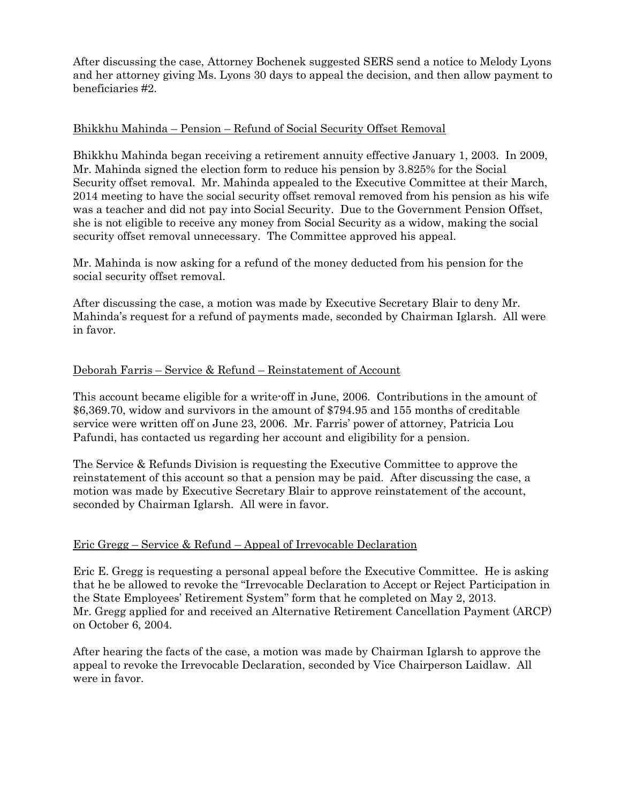After discussing the case, Attorney Bochenek suggested SERS send a notice to Melody Lyons and her attorney giving Ms. Lyons 30 days to appeal the decision, and then allow payment to beneficiaries #2.

### Bhikkhu Mahinda – Pension – Refund of Social Security Offset Removal

Bhikkhu Mahinda began receiving a retirement annuity effective January 1, 2003. In 2009, Mr. Mahinda signed the election form to reduce his pension by 3.825% for the Social Security offset removal. Mr. Mahinda appealed to the Executive Committee at their March, 2014 meeting to have the social security offset removal removed from his pension as his wife was a teacher and did not pay into Social Security. Due to the Government Pension Offset, she is not eligible to receive any money from Social Security as a widow, making the social security offset removal unnecessary. The Committee approved his appeal.

Mr. Mahinda is now asking for a refund of the money deducted from his pension for the social security offset removal.

After discussing the case, a motion was made by Executive Secretary Blair to deny Mr. Mahinda's request for a refund of payments made, seconded by Chairman Iglarsh. All were in favor.

#### Deborah Farris – Service & Refund – Reinstatement of Account

This account became eligible for a write-off in June, 2006. Contributions in the amount of \$6,369.70, widow and survivors in the amount of \$794.95 and 155 months of creditable service were written off on June 23, 2006. Mr. Farris' power of attorney, Patricia Lou Pafundi, has contacted us regarding her account and eligibility for a pension.

The Service & Refunds Division is requesting the Executive Committee to approve the reinstatement of this account so that a pension may be paid. After discussing the case, a motion was made by Executive Secretary Blair to approve reinstatement of the account, seconded by Chairman Iglarsh. All were in favor.

#### Eric Gregg – Service & Refund – Appeal of Irrevocable Declaration

Eric E. Gregg is requesting a personal appeal before the Executive Committee. He is asking that he be allowed to revoke the "Irrevocable Declaration to Accept or Reject Participation in the State Employees' Retirement System" form that he completed on May 2, 2013. Mr. Gregg applied for and received an Alternative Retirement Cancellation Payment (ARCP) on October 6, 2004.

After hearing the facts of the case, a motion was made by Chairman Iglarsh to approve the appeal to revoke the Irrevocable Declaration, seconded by Vice Chairperson Laidlaw. All were in favor.